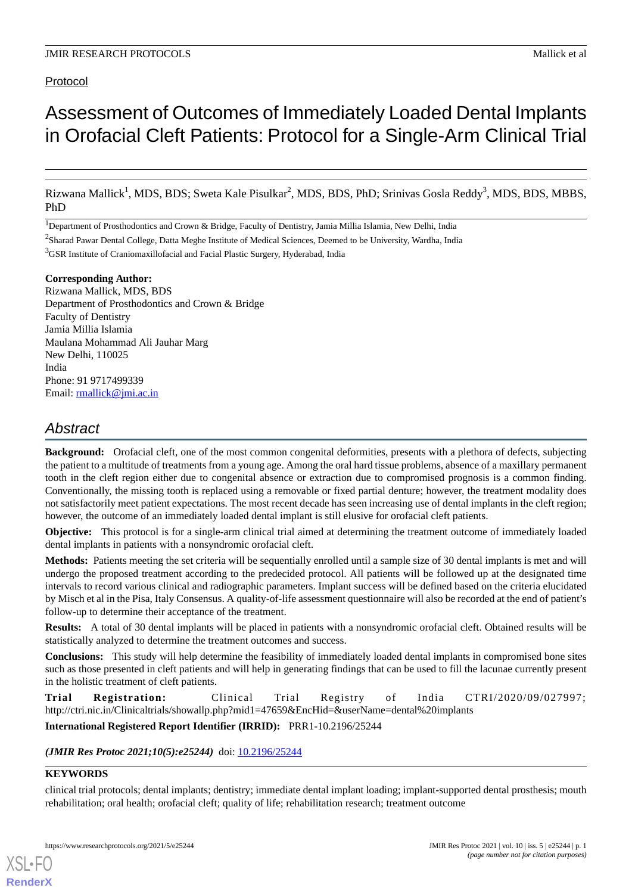# Assessment of Outcomes of Immediately Loaded Dental Implants in Orofacial Cleft Patients: Protocol for a Single-Arm Clinical Trial

Rizwana Mallick<sup>1</sup>, MDS, BDS; Sweta Kale Pisulkar<sup>2</sup>, MDS, BDS, PhD; Srinivas Gosla Reddy<sup>3</sup>, MDS, BDS, MBBS, PhD

<sup>1</sup>Department of Prosthodontics and Crown & Bridge, Faculty of Dentistry, Jamia Millia Islamia, New Delhi, India

<sup>3</sup>GSR Institute of Craniomaxillofacial and Facial Plastic Surgery, Hyderabad, India

#### **Corresponding Author:**

Rizwana Mallick, MDS, BDS Department of Prosthodontics and Crown & Bridge Faculty of Dentistry Jamia Millia Islamia Maulana Mohammad Ali Jauhar Marg New Delhi, 110025 India Phone: 91 9717499339 Email: [rmallick@jmi.ac.in](mailto:rmallick@jmi.ac.in)

# *Abstract*

**Background:** Orofacial cleft, one of the most common congenital deformities, presents with a plethora of defects, subjecting the patient to a multitude of treatments from a young age. Among the oral hard tissue problems, absence of a maxillary permanent tooth in the cleft region either due to congenital absence or extraction due to compromised prognosis is a common finding. Conventionally, the missing tooth is replaced using a removable or fixed partial denture; however, the treatment modality does not satisfactorily meet patient expectations. The most recent decade has seen increasing use of dental implants in the cleft region; however, the outcome of an immediately loaded dental implant is still elusive for orofacial cleft patients.

**Objective:** This protocol is for a single-arm clinical trial aimed at determining the treatment outcome of immediately loaded dental implants in patients with a nonsyndromic orofacial cleft.

**Methods:** Patients meeting the set criteria will be sequentially enrolled until a sample size of 30 dental implants is met and will undergo the proposed treatment according to the predecided protocol. All patients will be followed up at the designated time intervals to record various clinical and radiographic parameters. Implant success will be defined based on the criteria elucidated by Misch et al in the Pisa, Italy Consensus. A quality-of-life assessment questionnaire will also be recorded at the end of patient's follow-up to determine their acceptance of the treatment.

**Results:** A total of 30 dental implants will be placed in patients with a nonsyndromic orofacial cleft. Obtained results will be statistically analyzed to determine the treatment outcomes and success.

**Conclusions:** This study will help determine the feasibility of immediately loaded dental implants in compromised bone sites such as those presented in cleft patients and will help in generating findings that can be used to fill the lacunae currently present in the holistic treatment of cleft patients.

**Trial Registration:** Clinical Trial Registry of India CTRI/2020/09/027997; http://ctri.nic.in/Clinicaltrials/showallp.php?mid1=47659&EncHid=&userName=dental%20implants

**International Registered Report Identifier (IRRID):** PRR1-10.2196/25244

(JMIR Res Protoc 2021;10(5):e25244) doi: [10.2196/25244](http://dx.doi.org/10.2196/25244)

# **KEYWORDS**

[XSL](http://www.w3.org/Style/XSL)•FO **[RenderX](http://www.renderx.com/)**

clinical trial protocols; dental implants; dentistry; immediate dental implant loading; implant-supported dental prosthesis; mouth rehabilitation; oral health; orofacial cleft; quality of life; rehabilitation research; treatment outcome

 $^2$ Sharad Pawar Dental College, Datta Meghe Institute of Medical Sciences, Deemed to be University, Wardha, India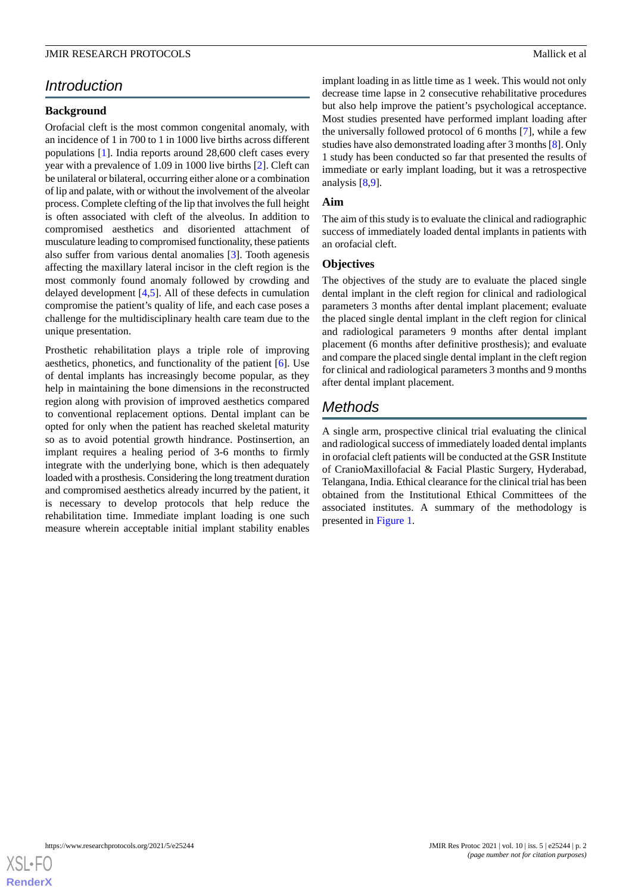# *Introduction*

#### **Background**

Orofacial cleft is the most common congenital anomaly, with an incidence of 1 in 700 to 1 in 1000 live births across different populations [[1](#page-5-0)]. India reports around 28,600 cleft cases every year with a prevalence of 1.09 in 1000 live births [\[2](#page-5-1)]. Cleft can be unilateral or bilateral, occurring either alone or a combination of lip and palate, with or without the involvement of the alveolar process. Complete clefting of the lip that involves the full height is often associated with cleft of the alveolus. In addition to compromised aesthetics and disoriented attachment of musculature leading to compromised functionality, these patients also suffer from various dental anomalies [[3](#page-5-2)]. Tooth agenesis affecting the maxillary lateral incisor in the cleft region is the most commonly found anomaly followed by crowding and delayed development [[4](#page-5-3)[,5](#page-6-0)]. All of these defects in cumulation compromise the patient's quality of life, and each case poses a challenge for the multidisciplinary health care team due to the unique presentation.

Prosthetic rehabilitation plays a triple role of improving aesthetics, phonetics, and functionality of the patient [\[6](#page-6-1)]. Use of dental implants has increasingly become popular, as they help in maintaining the bone dimensions in the reconstructed region along with provision of improved aesthetics compared to conventional replacement options. Dental implant can be opted for only when the patient has reached skeletal maturity so as to avoid potential growth hindrance. Postinsertion, an implant requires a healing period of 3-6 months to firmly integrate with the underlying bone, which is then adequately loaded with a prosthesis. Considering the long treatment duration and compromised aesthetics already incurred by the patient, it is necessary to develop protocols that help reduce the rehabilitation time. Immediate implant loading is one such measure wherein acceptable initial implant stability enables

implant loading in as little time as 1 week. This would not only decrease time lapse in 2 consecutive rehabilitative procedures but also help improve the patient's psychological acceptance. Most studies presented have performed implant loading after the universally followed protocol of 6 months [[7\]](#page-6-2), while a few studies have also demonstrated loading after 3 months [\[8](#page-6-3)]. Only 1 study has been conducted so far that presented the results of immediate or early implant loading, but it was a retrospective analysis [[8,](#page-6-3)[9](#page-6-4)].

## **Aim**

The aim of this study is to evaluate the clinical and radiographic success of immediately loaded dental implants in patients with an orofacial cleft.

#### **Objectives**

The objectives of the study are to evaluate the placed single dental implant in the cleft region for clinical and radiological parameters 3 months after dental implant placement; evaluate the placed single dental implant in the cleft region for clinical and radiological parameters 9 months after dental implant placement (6 months after definitive prosthesis); and evaluate and compare the placed single dental implant in the cleft region for clinical and radiological parameters 3 months and 9 months after dental implant placement.

# *Methods*

A single arm, prospective clinical trial evaluating the clinical and radiological success of immediately loaded dental implants in orofacial cleft patients will be conducted at the GSR Institute of CranioMaxillofacial & Facial Plastic Surgery, Hyderabad, Telangana, India. Ethical clearance for the clinical trial has been obtained from the Institutional Ethical Committees of the associated institutes. A summary of the methodology is presented in [Figure 1](#page-2-0).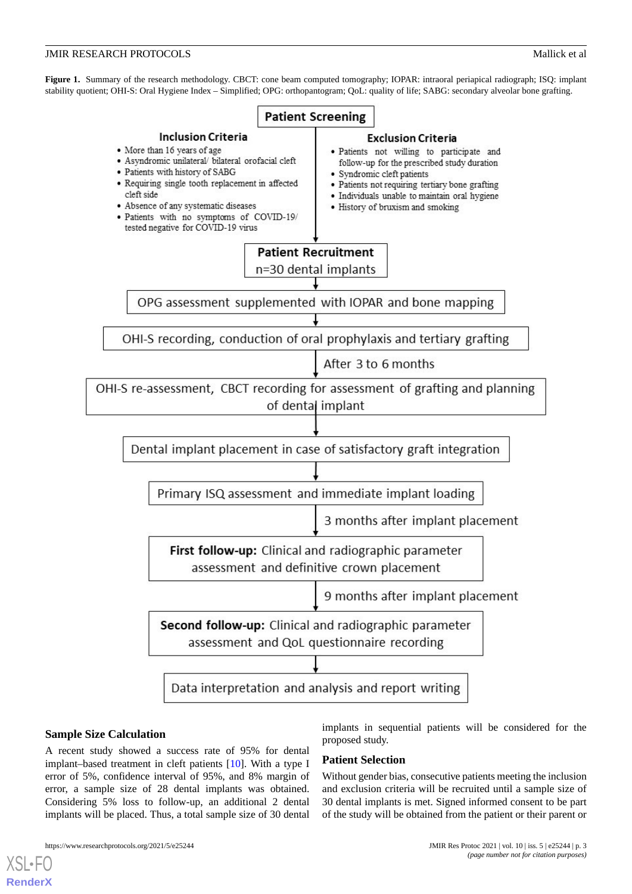<span id="page-2-0"></span>**Figure 1.** Summary of the research methodology. CBCT: cone beam computed tomography; IOPAR: intraoral periapical radiograph; ISQ: implant stability quotient; OHI-S: Oral Hygiene Index – Simplified; OPG: orthopantogram; QoL: quality of life; SABG: secondary alveolar bone grafting.



## **Sample Size Calculation**

A recent study showed a success rate of 95% for dental implant–based treatment in cleft patients [[10\]](#page-6-5). With a type I error of 5%, confidence interval of 95%, and 8% margin of error, a sample size of 28 dental implants was obtained. Considering 5% loss to follow-up, an additional 2 dental implants will be placed. Thus, a total sample size of 30 dental

implants in sequential patients will be considered for the proposed study.

## **Patient Selection**

Without gender bias, consecutive patients meeting the inclusion and exclusion criteria will be recruited until a sample size of 30 dental implants is met. Signed informed consent to be part of the study will be obtained from the patient or their parent or

[XSL](http://www.w3.org/Style/XSL)•FO **[RenderX](http://www.renderx.com/)**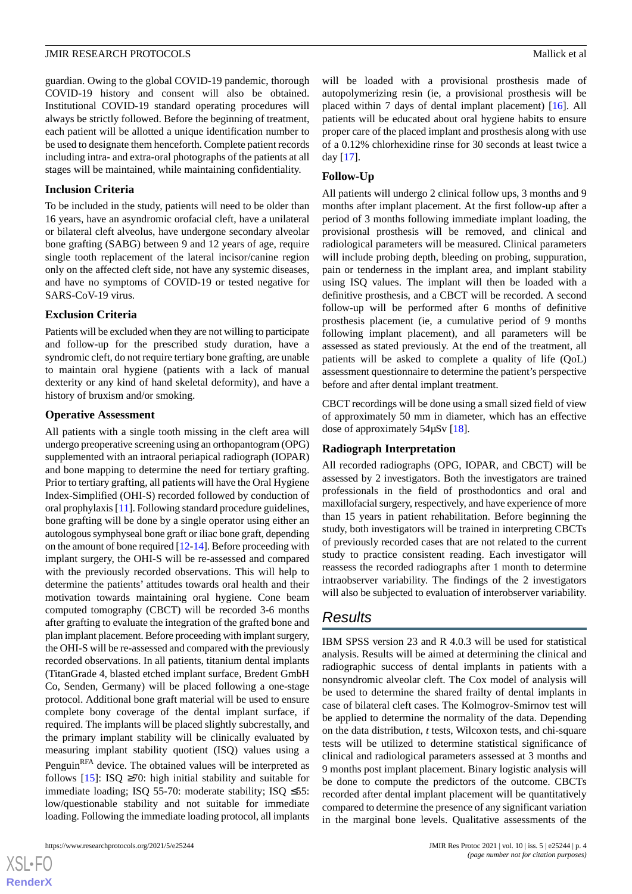guardian. Owing to the global COVID-19 pandemic, thorough COVID-19 history and consent will also be obtained. Institutional COVID-19 standard operating procedures will always be strictly followed. Before the beginning of treatment, each patient will be allotted a unique identification number to be used to designate them henceforth. Complete patient records including intra- and extra-oral photographs of the patients at all stages will be maintained, while maintaining confidentiality.

#### **Inclusion Criteria**

To be included in the study, patients will need to be older than 16 years, have an asyndromic orofacial cleft, have a unilateral or bilateral cleft alveolus, have undergone secondary alveolar bone grafting (SABG) between 9 and 12 years of age, require single tooth replacement of the lateral incisor/canine region only on the affected cleft side, not have any systemic diseases, and have no symptoms of COVID-19 or tested negative for SARS-CoV-19 virus.

#### **Exclusion Criteria**

Patients will be excluded when they are not willing to participate and follow-up for the prescribed study duration, have a syndromic cleft, do not require tertiary bone grafting, are unable to maintain oral hygiene (patients with a lack of manual dexterity or any kind of hand skeletal deformity), and have a history of bruxism and/or smoking.

#### **Operative Assessment**

All patients with a single tooth missing in the cleft area will undergo preoperative screening using an orthopantogram (OPG) supplemented with an intraoral periapical radiograph (IOPAR) and bone mapping to determine the need for tertiary grafting. Prior to tertiary grafting, all patients will have the Oral Hygiene Index-Simplified (OHI-S) recorded followed by conduction of oral prophylaxis [[11\]](#page-6-6). Following standard procedure guidelines, bone grafting will be done by a single operator using either an autologous symphyseal bone graft or iliac bone graft, depending on the amount of bone required [\[12](#page-6-7)[-14](#page-6-8)]. Before proceeding with implant surgery, the OHI-S will be re-assessed and compared with the previously recorded observations. This will help to determine the patients' attitudes towards oral health and their motivation towards maintaining oral hygiene. Cone beam computed tomography (CBCT) will be recorded 3-6 months after grafting to evaluate the integration of the grafted bone and plan implant placement. Before proceeding with implant surgery, the OHI-S will be re-assessed and compared with the previously recorded observations. In all patients, titanium dental implants (TitanGrade 4, blasted etched implant surface, Bredent GmbH Co, Senden, Germany) will be placed following a one-stage protocol. Additional bone graft material will be used to ensure complete bony coverage of the dental implant surface, if required. The implants will be placed slightly subcrestally, and the primary implant stability will be clinically evaluated by measuring implant stability quotient (ISQ) values using a Penguin<sup>RFA</sup> device. The obtained values will be interpreted as follows [[15\]](#page-6-9): ISQ  $\geq$ 70: high initial stability and suitable for immediate loading; ISQ 55-70: moderate stability; ISQ ≤55: low/questionable stability and not suitable for immediate loading. Following the immediate loading protocol, all implants

 $XS$  $\cdot$ FC **[RenderX](http://www.renderx.com/)**

will be loaded with a provisional prosthesis made of autopolymerizing resin (ie, a provisional prosthesis will be placed within 7 days of dental implant placement) [\[16](#page-6-10)]. All patients will be educated about oral hygiene habits to ensure proper care of the placed implant and prosthesis along with use of a 0.12% chlorhexidine rinse for 30 seconds at least twice a day [[17\]](#page-6-11).

#### **Follow-Up**

All patients will undergo 2 clinical follow ups, 3 months and 9 months after implant placement. At the first follow-up after a period of 3 months following immediate implant loading, the provisional prosthesis will be removed, and clinical and radiological parameters will be measured. Clinical parameters will include probing depth, bleeding on probing, suppuration, pain or tenderness in the implant area, and implant stability using ISQ values. The implant will then be loaded with a definitive prosthesis, and a CBCT will be recorded. A second follow-up will be performed after 6 months of definitive prosthesis placement (ie, a cumulative period of 9 months following implant placement), and all parameters will be assessed as stated previously. At the end of the treatment, all patients will be asked to complete a quality of life (QoL) assessment questionnaire to determine the patient's perspective before and after dental implant treatment.

CBCT recordings will be done using a small sized field of view of approximately 50 mm in diameter, which has an effective dose of approximately 54µSv [[18\]](#page-6-12).

#### **Radiograph Interpretation**

All recorded radiographs (OPG, IOPAR, and CBCT) will be assessed by 2 investigators. Both the investigators are trained professionals in the field of prosthodontics and oral and maxillofacial surgery, respectively, and have experience of more than 15 years in patient rehabilitation. Before beginning the study, both investigators will be trained in interpreting CBCTs of previously recorded cases that are not related to the current study to practice consistent reading. Each investigator will reassess the recorded radiographs after 1 month to determine intraobserver variability. The findings of the 2 investigators will also be subjected to evaluation of interobserver variability.

# *Results*

IBM SPSS version 23 and R 4.0.3 will be used for statistical analysis. Results will be aimed at determining the clinical and radiographic success of dental implants in patients with a nonsyndromic alveolar cleft. The Cox model of analysis will be used to determine the shared frailty of dental implants in case of bilateral cleft cases. The Kolmogrov-Smirnov test will be applied to determine the normality of the data. Depending on the data distribution, *t* tests, Wilcoxon tests, and chi-square tests will be utilized to determine statistical significance of clinical and radiological parameters assessed at 3 months and 9 months post implant placement. Binary logistic analysis will be done to compute the predictors of the outcome. CBCTs recorded after dental implant placement will be quantitatively compared to determine the presence of any significant variation in the marginal bone levels. Qualitative assessments of the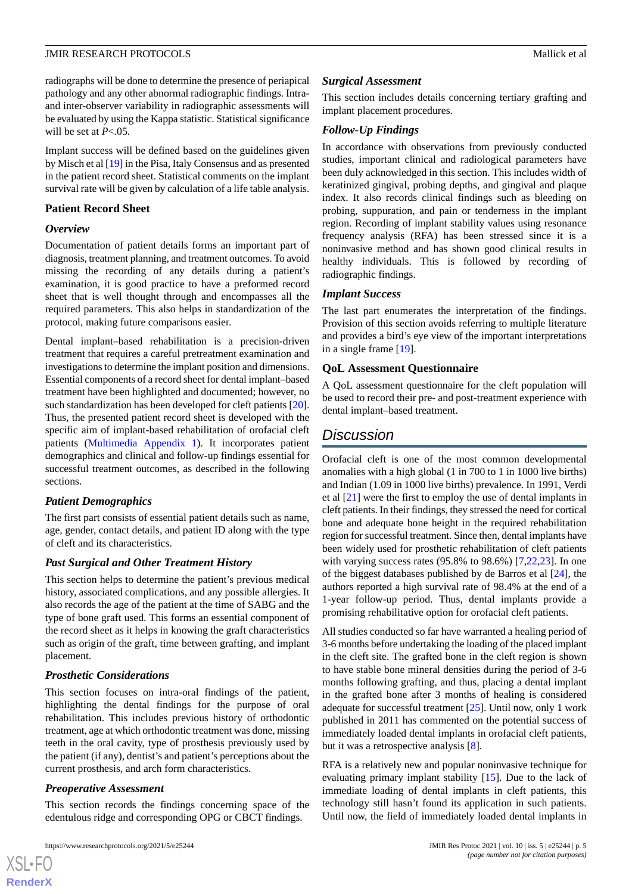radiographs will be done to determine the presence of periapical pathology and any other abnormal radiographic findings. Intraand inter-observer variability in radiographic assessments will be evaluated by using the Kappa statistic. Statistical significance will be set at *P*<.05.

Implant success will be defined based on the guidelines given by Misch et al [[19\]](#page-6-13) in the Pisa, Italy Consensus and as presented in the patient record sheet. Statistical comments on the implant survival rate will be given by calculation of a life table analysis.

#### **Patient Record Sheet**

#### *Overview*

Documentation of patient details forms an important part of diagnosis, treatment planning, and treatment outcomes. To avoid missing the recording of any details during a patient's examination, it is good practice to have a preformed record sheet that is well thought through and encompasses all the required parameters. This also helps in standardization of the protocol, making future comparisons easier.

Dental implant–based rehabilitation is a precision-driven treatment that requires a careful pretreatment examination and investigations to determine the implant position and dimensions. Essential components of a record sheet for dental implant–based treatment have been highlighted and documented; however, no such standardization has been developed for cleft patients [[20\]](#page-6-14). Thus, the presented patient record sheet is developed with the specific aim of implant-based rehabilitation of orofacial cleft patients ([Multimedia Appendix 1\)](#page-5-4). It incorporates patient demographics and clinical and follow-up findings essential for successful treatment outcomes, as described in the following sections.

#### *Patient Demographics*

The first part consists of essential patient details such as name, age, gender, contact details, and patient ID along with the type of cleft and its characteristics.

#### *Past Surgical and Other Treatment History*

This section helps to determine the patient's previous medical history, associated complications, and any possible allergies. It also records the age of the patient at the time of SABG and the type of bone graft used. This forms an essential component of the record sheet as it helps in knowing the graft characteristics such as origin of the graft, time between grafting, and implant placement.

#### *Prosthetic Considerations*

This section focuses on intra-oral findings of the patient, highlighting the dental findings for the purpose of oral rehabilitation. This includes previous history of orthodontic treatment, age at which orthodontic treatment was done, missing teeth in the oral cavity, type of prosthesis previously used by the patient (if any), dentist's and patient's perceptions about the current prosthesis, and arch form characteristics.

#### *Preoperative Assessment*

This section records the findings concerning space of the edentulous ridge and corresponding OPG or CBCT findings.

#### *Surgical Assessment*

This section includes details concerning tertiary grafting and implant placement procedures.

## *Follow-Up Findings*

In accordance with observations from previously conducted studies, important clinical and radiological parameters have been duly acknowledged in this section. This includes width of keratinized gingival, probing depths, and gingival and plaque index. It also records clinical findings such as bleeding on probing, suppuration, and pain or tenderness in the implant region. Recording of implant stability values using resonance frequency analysis (RFA) has been stressed since it is a noninvasive method and has shown good clinical results in healthy individuals. This is followed by recording of radiographic findings.

#### *Implant Success*

The last part enumerates the interpretation of the findings. Provision of this section avoids referring to multiple literature and provides a bird's eye view of the important interpretations in a single frame [\[19](#page-6-13)].

#### **QoL Assessment Questionnaire**

A QoL assessment questionnaire for the cleft population will be used to record their pre- and post-treatment experience with dental implant–based treatment.

# *Discussion*

Orofacial cleft is one of the most common developmental anomalies with a high global (1 in 700 to 1 in 1000 live births) and Indian (1.09 in 1000 live births) prevalence. In 1991, Verdi et al [\[21](#page-6-15)] were the first to employ the use of dental implants in cleft patients. In their findings, they stressed the need for cortical bone and adequate bone height in the required rehabilitation region for successful treatment. Since then, dental implants have been widely used for prosthetic rehabilitation of cleft patients with varying success rates (95.8% to 98.6%) [[7](#page-6-2)[,22](#page-6-16),[23\]](#page-6-17). In one of the biggest databases published by de Barros et al [[24\]](#page-6-18), the authors reported a high survival rate of 98.4% at the end of a 1-year follow-up period. Thus, dental implants provide a promising rehabilitative option for orofacial cleft patients.

All studies conducted so far have warranted a healing period of 3-6 months before undertaking the loading of the placed implant in the cleft site. The grafted bone in the cleft region is shown to have stable bone mineral densities during the period of 3-6 months following grafting, and thus, placing a dental implant in the grafted bone after 3 months of healing is considered adequate for successful treatment [\[25](#page-6-19)]. Until now, only 1 work published in 2011 has commented on the potential success of immediately loaded dental implants in orofacial cleft patients, but it was a retrospective analysis [[8](#page-6-3)].

RFA is a relatively new and popular noninvasive technique for evaluating primary implant stability [\[15](#page-6-9)]. Due to the lack of immediate loading of dental implants in cleft patients, this technology still hasn't found its application in such patients. Until now, the field of immediately loaded dental implants in

```
XSL•FO
RenderX
```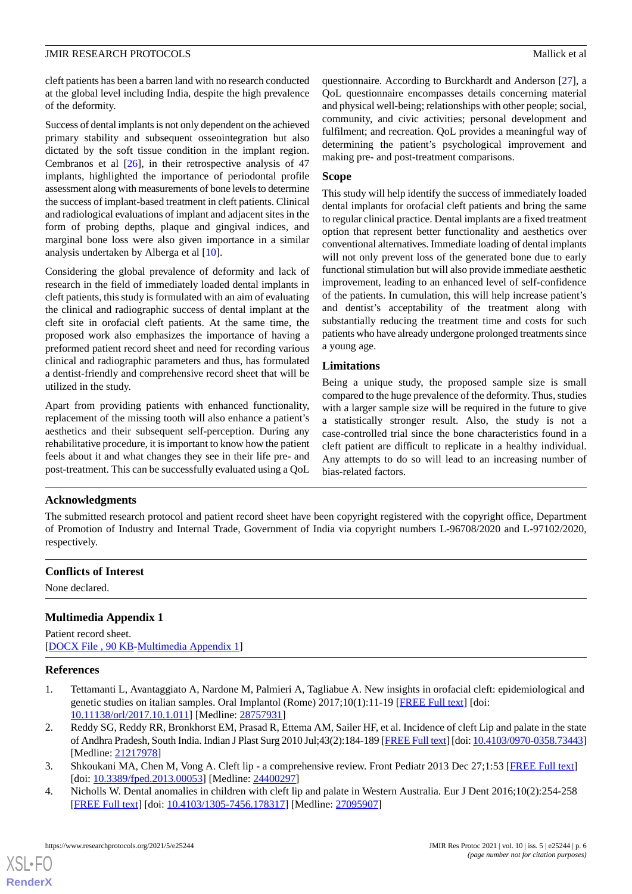cleft patients has been a barren land with no research conducted at the global level including India, despite the high prevalence of the deformity.

Success of dental implants is not only dependent on the achieved primary stability and subsequent osseointegration but also dictated by the soft tissue condition in the implant region. Cembranos et al [[26\]](#page-6-20), in their retrospective analysis of 47 implants, highlighted the importance of periodontal profile assessment along with measurements of bone levels to determine the success of implant-based treatment in cleft patients. Clinical and radiological evaluations of implant and adjacent sites in the form of probing depths, plaque and gingival indices, and marginal bone loss were also given importance in a similar analysis undertaken by Alberga et al [[10\]](#page-6-5).

Considering the global prevalence of deformity and lack of research in the field of immediately loaded dental implants in cleft patients, this study is formulated with an aim of evaluating the clinical and radiographic success of dental implant at the cleft site in orofacial cleft patients. At the same time, the proposed work also emphasizes the importance of having a preformed patient record sheet and need for recording various clinical and radiographic parameters and thus, has formulated a dentist-friendly and comprehensive record sheet that will be utilized in the study.

Apart from providing patients with enhanced functionality, replacement of the missing tooth will also enhance a patient's aesthetics and their subsequent self-perception. During any rehabilitative procedure, it is important to know how the patient feels about it and what changes they see in their life pre- and post-treatment. This can be successfully evaluated using a QoL questionnaire. According to Burckhardt and Anderson [[27\]](#page-6-21), a QoL questionnaire encompasses details concerning material and physical well-being; relationships with other people; social, community, and civic activities; personal development and fulfilment; and recreation. QoL provides a meaningful way of determining the patient's psychological improvement and making pre- and post-treatment comparisons.

#### **Scope**

This study will help identify the success of immediately loaded dental implants for orofacial cleft patients and bring the same to regular clinical practice. Dental implants are a fixed treatment option that represent better functionality and aesthetics over conventional alternatives. Immediate loading of dental implants will not only prevent loss of the generated bone due to early functional stimulation but will also provide immediate aesthetic improvement, leading to an enhanced level of self-confidence of the patients. In cumulation, this will help increase patient's and dentist's acceptability of the treatment along with substantially reducing the treatment time and costs for such patients who have already undergone prolonged treatments since a young age.

#### **Limitations**

Being a unique study, the proposed sample size is small compared to the huge prevalence of the deformity. Thus, studies with a larger sample size will be required in the future to give a statistically stronger result. Also, the study is not a case-controlled trial since the bone characteristics found in a cleft patient are difficult to replicate in a healthy individual. Any attempts to do so will lead to an increasing number of bias-related factors.

#### **Acknowledgments**

The submitted research protocol and patient record sheet have been copyright registered with the copyright office, Department of Promotion of Industry and Internal Trade, Government of India via copyright numbers L-96708/2020 and L-97102/2020, respectively.

#### <span id="page-5-4"></span>**Conflicts of Interest**

None declared.

## <span id="page-5-0"></span>**Multimedia Appendix 1**

Patient record sheet. [[DOCX File , 90 KB](https://jmir.org/api/download?alt_name=resprot_v10i5e25244_app1.docx&filename=4801e56a99482bba880e5cf442344f57.docx)-[Multimedia Appendix 1\]](https://jmir.org/api/download?alt_name=resprot_v10i5e25244_app1.docx&filename=4801e56a99482bba880e5cf442344f57.docx)

#### <span id="page-5-1"></span>**References**

[XSL](http://www.w3.org/Style/XSL)•FO **[RenderX](http://www.renderx.com/)**

- <span id="page-5-2"></span>1. Tettamanti L, Avantaggiato A, Nardone M, Palmieri A, Tagliabue A. New insights in orofacial cleft: epidemiological and genetic studies on italian samples. Oral Implantol (Rome) 2017;10(1):11-19 [\[FREE Full text\]](http://europepmc.org/abstract/MED/28757931) [doi: [10.11138/orl/2017.10.1.011](http://dx.doi.org/10.11138/orl/2017.10.1.011)] [Medline: [28757931\]](http://www.ncbi.nlm.nih.gov/entrez/query.fcgi?cmd=Retrieve&db=PubMed&list_uids=28757931&dopt=Abstract)
- <span id="page-5-3"></span>2. Reddy SG, Reddy RR, Bronkhorst EM, Prasad R, Ettema AM, Sailer HF, et al. Incidence of cleft Lip and palate in the state of Andhra Pradesh, South India. Indian J Plast Surg 2010 Jul;43(2):184-189 [\[FREE Full text](http://europepmc.org/abstract/MED/21217978)] [doi: [10.4103/0970-0358.73443](http://dx.doi.org/10.4103/0970-0358.73443)] [Medline: [21217978](http://www.ncbi.nlm.nih.gov/entrez/query.fcgi?cmd=Retrieve&db=PubMed&list_uids=21217978&dopt=Abstract)]
- 3. Shkoukani MA, Chen M, Vong A. Cleft lip a comprehensive review. Front Pediatr 2013 Dec 27;1:53 [\[FREE Full text\]](https://doi.org/10.3389/fped.2013.00053) [doi: [10.3389/fped.2013.00053\]](http://dx.doi.org/10.3389/fped.2013.00053) [Medline: [24400297\]](http://www.ncbi.nlm.nih.gov/entrez/query.fcgi?cmd=Retrieve&db=PubMed&list_uids=24400297&dopt=Abstract)
- 4. Nicholls W. Dental anomalies in children with cleft lip and palate in Western Australia. Eur J Dent 2016;10(2):254-258 [[FREE Full text](http://www.thieme-connect.com/DOI/DOI?10.4103/1305-7456.178317)] [doi: [10.4103/1305-7456.178317\]](http://dx.doi.org/10.4103/1305-7456.178317) [Medline: [27095907](http://www.ncbi.nlm.nih.gov/entrez/query.fcgi?cmd=Retrieve&db=PubMed&list_uids=27095907&dopt=Abstract)]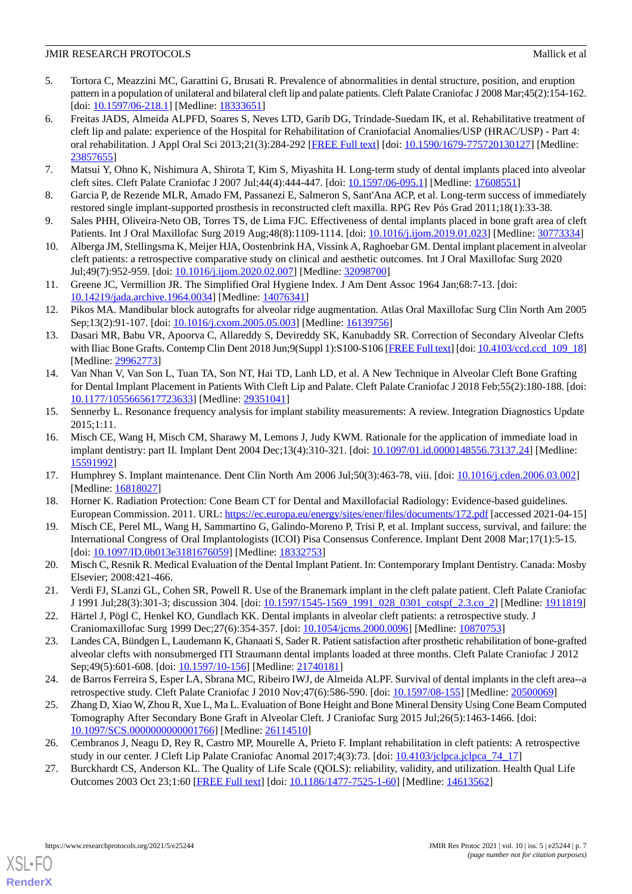- <span id="page-6-0"></span>5. Tortora C, Meazzini MC, Garattini G, Brusati R. Prevalence of abnormalities in dental structure, position, and eruption pattern in a population of unilateral and bilateral cleft lip and palate patients. Cleft Palate Craniofac J 2008 Mar;45(2):154-162. [doi: [10.1597/06-218.1](http://dx.doi.org/10.1597/06-218.1)] [Medline: [18333651\]](http://www.ncbi.nlm.nih.gov/entrez/query.fcgi?cmd=Retrieve&db=PubMed&list_uids=18333651&dopt=Abstract)
- <span id="page-6-1"></span>6. Freitas JADS, Almeida ALPFD, Soares S, Neves LTD, Garib DG, Trindade-Suedam IK, et al. Rehabilitative treatment of cleft lip and palate: experience of the Hospital for Rehabilitation of Craniofacial Anomalies/USP (HRAC/USP) - Part 4: oral rehabilitation. J Appl Oral Sci 2013;21(3):284-292 [[FREE Full text](https://www.scielo.br/scielo.php?script=sci_arttext&pid=S1678-77572013000300284&lng=en&nrm=iso&tlng=en)] [doi: [10.1590/1679-775720130127\]](http://dx.doi.org/10.1590/1679-775720130127) [Medline: [23857655](http://www.ncbi.nlm.nih.gov/entrez/query.fcgi?cmd=Retrieve&db=PubMed&list_uids=23857655&dopt=Abstract)]
- <span id="page-6-3"></span><span id="page-6-2"></span>7. Matsui Y, Ohno K, Nishimura A, Shirota T, Kim S, Miyashita H. Long-term study of dental implants placed into alveolar cleft sites. Cleft Palate Craniofac J 2007 Jul;44(4):444-447. [doi: [10.1597/06-095.1](http://dx.doi.org/10.1597/06-095.1)] [Medline: [17608551](http://www.ncbi.nlm.nih.gov/entrez/query.fcgi?cmd=Retrieve&db=PubMed&list_uids=17608551&dopt=Abstract)]
- <span id="page-6-4"></span>8. Garcia P, de Rezende MLR, Amado FM, Passanezi E, Salmeron S, Sant'Ana ACP, et al. Long-term success of immediately restored single implant-supported prosthesis in reconstructed cleft maxilla. RPG Rev Pós Grad 2011;18(1):33-38.
- <span id="page-6-5"></span>9. Sales PHH, Oliveira-Neto OB, Torres TS, de Lima FJC. Effectiveness of dental implants placed in bone graft area of cleft Patients. Int J Oral Maxillofac Surg 2019 Aug;48(8):1109-1114. [doi: [10.1016/j.ijom.2019.01.023\]](http://dx.doi.org/10.1016/j.ijom.2019.01.023) [Medline: [30773334\]](http://www.ncbi.nlm.nih.gov/entrez/query.fcgi?cmd=Retrieve&db=PubMed&list_uids=30773334&dopt=Abstract)
- <span id="page-6-6"></span>10. Alberga JM, Stellingsma K, Meijer HJA, Oostenbrink HA, Vissink A, Raghoebar GM. Dental implant placement in alveolar cleft patients: a retrospective comparative study on clinical and aesthetic outcomes. Int J Oral Maxillofac Surg 2020 Jul;49(7):952-959. [doi: [10.1016/j.ijom.2020.02.007](http://dx.doi.org/10.1016/j.ijom.2020.02.007)] [Medline: [32098700](http://www.ncbi.nlm.nih.gov/entrez/query.fcgi?cmd=Retrieve&db=PubMed&list_uids=32098700&dopt=Abstract)]
- <span id="page-6-7"></span>11. Greene JC, Vermillion JR. The Simplified Oral Hygiene Index. J Am Dent Assoc 1964 Jan;68:7-13. [doi: [10.14219/jada.archive.1964.0034\]](http://dx.doi.org/10.14219/jada.archive.1964.0034) [Medline: [14076341\]](http://www.ncbi.nlm.nih.gov/entrez/query.fcgi?cmd=Retrieve&db=PubMed&list_uids=14076341&dopt=Abstract)
- 12. Pikos MA. Mandibular block autografts for alveolar ridge augmentation. Atlas Oral Maxillofac Surg Clin North Am 2005 Sep;13(2):91-107. [doi: [10.1016/j.cxom.2005.05.003\]](http://dx.doi.org/10.1016/j.cxom.2005.05.003) [Medline: [16139756](http://www.ncbi.nlm.nih.gov/entrez/query.fcgi?cmd=Retrieve&db=PubMed&list_uids=16139756&dopt=Abstract)]
- <span id="page-6-8"></span>13. Dasari MR, Babu VR, Apoorva C, Allareddy S, Devireddy SK, Kanubaddy SR. Correction of Secondary Alveolar Clefts with Iliac Bone Grafts. Contemp Clin Dent 2018 Jun;9(Suppl 1):S100-S106 [\[FREE Full text\]](http://www.contempclindent.org/article.asp?issn=0976-237X;year=2018;volume=9;issue=5;spage=100;epage=106;aulast=Dasari) [doi: 10.4103/ccd.ccd 109 18] [Medline: [29962773](http://www.ncbi.nlm.nih.gov/entrez/query.fcgi?cmd=Retrieve&db=PubMed&list_uids=29962773&dopt=Abstract)]
- <span id="page-6-9"></span>14. Van Nhan V, Van Son L, Tuan TA, Son NT, Hai TD, Lanh LD, et al. A New Technique in Alveolar Cleft Bone Grafting for Dental Implant Placement in Patients With Cleft Lip and Palate. Cleft Palate Craniofac J 2018 Feb;55(2):180-188. [doi: [10.1177/1055665617723633\]](http://dx.doi.org/10.1177/1055665617723633) [Medline: [29351041\]](http://www.ncbi.nlm.nih.gov/entrez/query.fcgi?cmd=Retrieve&db=PubMed&list_uids=29351041&dopt=Abstract)
- <span id="page-6-10"></span>15. Sennerby L. Resonance frequency analysis for implant stability measurements: A review. Integration Diagnostics Update 2015;1:11.
- <span id="page-6-12"></span><span id="page-6-11"></span>16. Misch CE, Wang H, Misch CM, Sharawy M, Lemons J, Judy KWM. Rationale for the application of immediate load in implant dentistry: part II. Implant Dent 2004 Dec;13(4):310-321. [doi: [10.1097/01.id.0000148556.73137.24\]](http://dx.doi.org/10.1097/01.id.0000148556.73137.24) [Medline: [15591992](http://www.ncbi.nlm.nih.gov/entrez/query.fcgi?cmd=Retrieve&db=PubMed&list_uids=15591992&dopt=Abstract)]
- <span id="page-6-13"></span>17. Humphrey S. Implant maintenance. Dent Clin North Am 2006 Jul;50(3):463-78, viii. [doi: [10.1016/j.cden.2006.03.002\]](http://dx.doi.org/10.1016/j.cden.2006.03.002) [Medline: [16818027](http://www.ncbi.nlm.nih.gov/entrez/query.fcgi?cmd=Retrieve&db=PubMed&list_uids=16818027&dopt=Abstract)]
- <span id="page-6-14"></span>18. Horner K. Radiation Protection: Cone Beam CT for Dental and Maxillofacial Radiology: Evidence-based guidelines. European Commission. 2011. URL:<https://ec.europa.eu/energy/sites/ener/files/documents/172.pdf> [accessed 2021-04-15]
- <span id="page-6-15"></span>19. Misch CE, Perel ML, Wang H, Sammartino G, Galindo-Moreno P, Trisi P, et al. Implant success, survival, and failure: the International Congress of Oral Implantologists (ICOI) Pisa Consensus Conference. Implant Dent 2008 Mar;17(1):5-15. [doi: [10.1097/ID.0b013e3181676059\]](http://dx.doi.org/10.1097/ID.0b013e3181676059) [Medline: [18332753\]](http://www.ncbi.nlm.nih.gov/entrez/query.fcgi?cmd=Retrieve&db=PubMed&list_uids=18332753&dopt=Abstract)
- <span id="page-6-16"></span>20. Misch C, Resnik R. Medical Evaluation of the Dental Implant Patient. In: Contemporary Implant Dentistry. Canada: Mosby Elsevier; 2008:421-466.
- <span id="page-6-17"></span>21. Verdi FJ, SLanzi GL, Cohen SR, Powell R. Use of the Branemark implant in the cleft palate patient. Cleft Palate Craniofac J 1991 Jul;28(3):301-3; discussion 304. [doi: [10.1597/1545-1569\\_1991\\_028\\_0301\\_cotspf\\_2.3.co\\_2\]](http://dx.doi.org/10.1597/1545-1569_1991_028_0301_cotspf_2.3.co_2) [Medline: [1911819\]](http://www.ncbi.nlm.nih.gov/entrez/query.fcgi?cmd=Retrieve&db=PubMed&list_uids=1911819&dopt=Abstract)
- <span id="page-6-18"></span>22. Härtel J, Pögl C, Henkel KO, Gundlach KK. Dental implants in alveolar cleft patients: a retrospective study. J Craniomaxillofac Surg 1999 Dec;27(6):354-357. [doi: [10.1054/jcms.2000.0096\]](http://dx.doi.org/10.1054/jcms.2000.0096) [Medline: [10870753\]](http://www.ncbi.nlm.nih.gov/entrez/query.fcgi?cmd=Retrieve&db=PubMed&list_uids=10870753&dopt=Abstract)
- <span id="page-6-19"></span>23. Landes CA, Bündgen L, Laudemann K, Ghanaati S, Sader R. Patient satisfaction after prosthetic rehabilitation of bone-grafted alveolar clefts with nonsubmerged ITI Straumann dental implants loaded at three months. Cleft Palate Craniofac J 2012 Sep;49(5):601-608. [doi: [10.1597/10-156](http://dx.doi.org/10.1597/10-156)] [Medline: [21740181\]](http://www.ncbi.nlm.nih.gov/entrez/query.fcgi?cmd=Retrieve&db=PubMed&list_uids=21740181&dopt=Abstract)
- <span id="page-6-20"></span>24. de Barros Ferreira S, Esper LA, Sbrana MC, Ribeiro IWJ, de Almeida ALPF. Survival of dental implants in the cleft area--a retrospective study. Cleft Palate Craniofac J 2010 Nov;47(6):586-590. [doi: [10.1597/08-155\]](http://dx.doi.org/10.1597/08-155) [Medline: [20500069\]](http://www.ncbi.nlm.nih.gov/entrez/query.fcgi?cmd=Retrieve&db=PubMed&list_uids=20500069&dopt=Abstract)
- <span id="page-6-21"></span>25. Zhang D, Xiao W, Zhou R, Xue L, Ma L. Evaluation of Bone Height and Bone Mineral Density Using Cone Beam Computed Tomography After Secondary Bone Graft in Alveolar Cleft. J Craniofac Surg 2015 Jul;26(5):1463-1466. [doi: [10.1097/SCS.0000000000001766](http://dx.doi.org/10.1097/SCS.0000000000001766)] [Medline: [26114510\]](http://www.ncbi.nlm.nih.gov/entrez/query.fcgi?cmd=Retrieve&db=PubMed&list_uids=26114510&dopt=Abstract)
- 26. Cembranos J, Neagu D, Rey R, Castro MP, Mourelle A, Prieto F. Implant rehabilitation in cleft patients: A retrospective study in our center. J Cleft Lip Palate Craniofac Anomal 2017;4(3):73. [doi: [10.4103/jclpca.jclpca\\_74\\_17](http://dx.doi.org/10.4103/jclpca.jclpca_74_17)]
- 27. Burckhardt CS, Anderson KL. The Quality of Life Scale (QOLS): reliability, validity, and utilization. Health Qual Life Outcomes 2003 Oct 23;1:60 [\[FREE Full text\]](https://hqlo.biomedcentral.com/articles/10.1186/1477-7525-1-60) [doi: [10.1186/1477-7525-1-60](http://dx.doi.org/10.1186/1477-7525-1-60)] [Medline: [14613562](http://www.ncbi.nlm.nih.gov/entrez/query.fcgi?cmd=Retrieve&db=PubMed&list_uids=14613562&dopt=Abstract)]

[XSL](http://www.w3.org/Style/XSL)•FO **[RenderX](http://www.renderx.com/)**